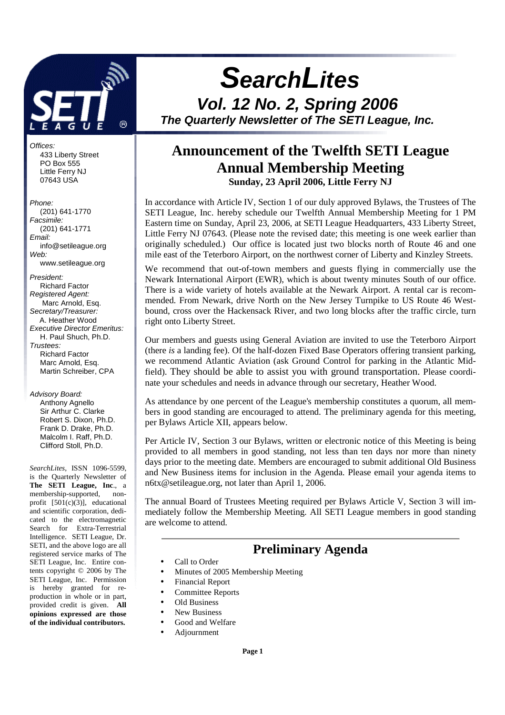

Offices: 433 Liberty Street PO Box 555

 Little Ferry NJ 07643 USA

#### Phone:

 (201) 641-1770 Facsimile: (201) 641-1771 Email: info@setileague.org Web: www.setileague.org President: Richard Factor Registered Agent: Marc Arnold, Esq. Secretary/Treasurer: A. Heather Wood Executive Director Emeritus: H. Paul Shuch, Ph.D. Trustees: Richard Factor Marc Arnold, Esq. Martin Schreiber, CPA

#### Advisory Board:

 Anthony Agnello Sir Arthur C. Clarke Robert S. Dixon, Ph.D. Frank D. Drake, Ph.D. Malcolm I. Raff, Ph.D. Clifford Stoll, Ph.D.

*SearchLites*, ISSN 1096-5599, is the Quarterly Newsletter of **The SETI League, Inc**., a membership-supported, nonprofit  $[501(c)(3)]$ , educational and scientific corporation, dedicated to the electromagnetic Search for Extra-Terrestrial Intelligence. SETI League, Dr. SETI, and the above logo are all registered service marks of The SETI League, Inc. Entire contents copyright © 2006 by The SETI League, Inc. Permission is hereby granted for reproduction in whole or in part, provided credit is given. **All opinions expressed are those of the individual contributors.** 

# **SearchLites**

# **Vol. 12 No. 2, Spring 2006 The Quarterly Newsletter of The SETI League, Inc.**

# **Announcement of the Twelfth SETI League Annual Membership Meeting Sunday, 23 April 2006, Little Ferry NJ**

In accordance with Article IV, Section 1 of our duly approved Bylaws, the Trustees of The SETI League, Inc. hereby schedule our Twelfth Annual Membership Meeting for 1 PM Eastern time on Sunday, April 23, 2006, at SETI League Headquarters, 433 Liberty Street, Little Ferry NJ 07643. (Please note the revised date; this meeting is one week earlier than originally scheduled.) Our office is located just two blocks north of Route 46 and one mile east of the Teterboro Airport, on the northwest corner of Liberty and Kinzley Streets.

We recommend that out-of-town members and guests flying in commercially use the Newark International Airport (EWR), which is about twenty minutes South of our office. There is a wide variety of hotels available at the Newark Airport. A rental car is recommended. From Newark, drive North on the New Jersey Turnpike to US Route 46 Westbound, cross over the Hackensack River, and two long blocks after the traffic circle, turn right onto Liberty Street.

Our members and guests using General Aviation are invited to use the Teterboro Airport (there *is* a landing fee). Of the half-dozen Fixed Base Operators offering transient parking, we recommend Atlantic Aviation (ask Ground Control for parking in the Atlantic Midfield). They should be able to assist you with ground transportation. Please coordinate your schedules and needs in advance through our secretary, Heather Wood.

As attendance by one percent of the League's membership constitutes a quorum, all members in good standing are encouraged to attend. The preliminary agenda for this meeting, per Bylaws Article XII, appears below.

Per Article IV, Section 3 our Bylaws, written or electronic notice of this Meeting is being provided to all members in good standing, not less than ten days nor more than ninety days prior to the meeting date. Members are encouraged to submit additional Old Business and New Business items for inclusion in the Agenda. Please email your agenda items to n6tx@setileague.org, not later than April 1, 2006.

The annual Board of Trustees Meeting required per Bylaws Article V, Section 3 will immediately follow the Membership Meeting. All SETI League members in good standing are welcome to attend.

# **Preliminary Agenda**

- Call to Order
	- Minutes of 2005 Membership Meeting
	- Financial Report
	- Committee Reports
	- Old Business
	- New Business
	- Good and Welfare
	- Adjournment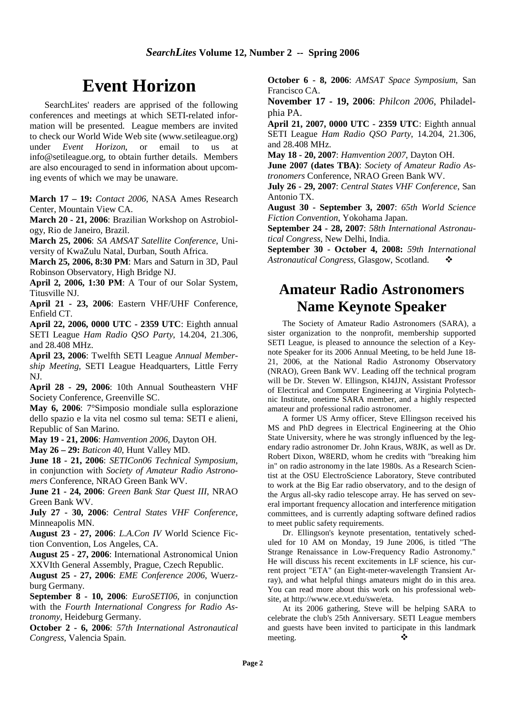# **Event Horizon**

SearchLites' readers are apprised of the following conferences and meetings at which SETI-related information will be presented. League members are invited to check our World Wide Web site (www.setileague.org) under *Event Horizon*, or email to us at info@setileague.org, to obtain further details. Members are also encouraged to send in information about upcoming events of which we may be unaware.

**March 17 – 19:** *Contact 2006*, NASA Ames Research Center, Mountain View CA.

**March 20 - 21, 2006**: Brazilian Workshop on Astrobiology, Rio de Janeiro, Brazil.

**March 25, 2006**: *SA AMSAT Satellite Conference*, University of KwaZulu Natal, Durban, South Africa.

**March 25, 2006, 8:30 PM**: Mars and Saturn in 3D, Paul Robinson Observatory, High Bridge NJ.

**April 2, 2006, 1:30 PM**: A Tour of our Solar System, Titusville NJ.

**April 21 - 23, 2006**: Eastern VHF/UHF Conference, Enfield CT.

**April 22, 2006, 0000 UTC - 2359 UTC**: Eighth annual SETI League *Ham Radio QSO Party*, 14.204, 21.306, and 28.408 MHz.

**April 23, 2006**: Twelfth SETI League *Annual Membership Meeting*, SETI League Headquarters, Little Ferry NJ.

**April 28 - 29, 2006**: 10th Annual Southeastern VHF Society Conference, Greenville SC.

**May 6, 2006**: 7°Simposio mondiale sulla esplorazione dello spazio e la vita nel cosmo sul tema: SETI e alieni, Republic of San Marino.

**May 19 - 21, 2006**: *Hamvention 2006*, Dayton OH.

**May 26 – 29:** *Baticon 40*, Hunt Valley MD.

**June 18 - 21, 2006**: *SETICon06 Technical Symposium*, in conjunction with *Society of Amateur Radio Astronomers* Conference, NRAO Green Bank WV.

**June 21 - 24, 2006**: *Green Bank Star Quest III*, NRAO Green Bank WV.

**July 27 - 30, 2006**: *Central States VHF Conference*, Minneapolis MN.

**August 23 - 27, 2006**: *L.A.Con IV* World Science Fiction Convention, Los Angeles, CA.

**August 25 - 27, 2006**: International Astronomical Union XXVIth General Assembly, Prague, Czech Republic.

**August 25 - 27, 2006**: *EME Conference 2006*, Wuerzburg Germany.

**September 8 - 10, 2006**: *EuroSETI06*, in conjunction with the *Fourth International Congress for Radio Astronomy,* Heideburg Germany.

**October 2 - 6, 2006**: *57th International Astronautical Congress*, Valencia Spain.

**October 6 - 8, 2006**: *AMSAT Space Symposium*, San Francisco CA.

**November 17 - 19, 2006**: *Philcon 2006*, Philadelphia PA.

**April 21, 2007, 0000 UTC - 2359 UTC**: Eighth annual SETI League *Ham Radio QSO Party*, 14.204, 21.306, and 28.408 MHz.

**May 18 - 20, 2007**: *Hamvention 2007*, Dayton OH.

**June 2007 (dates TBA)**: *Society of Amateur Radio Astronomers* Conference, NRAO Green Bank WV.

**July 26 - 29, 2007**: *Central States VHF Conference*, San Antonio TX.

**August 30 - September 3, 2007**: *65th World Science Fiction Convention*, Yokohama Japan.

**September 24 - 28, 2007**: *58th International Astronautical Congress*, New Delhi, India.

**September 30 - October 4, 2008:** *59th International Astronautical Congress*, Glasgow, Scotland.

# **Amateur Radio Astronomers Name Keynote Speaker**

The Society of Amateur Radio Astronomers (SARA), a sister organization to the nonprofit, membership supported SETI League, is pleased to announce the selection of a Keynote Speaker for its 2006 Annual Meeting, to be held June 18- 21, 2006, at the National Radio Astronomy Observatory (NRAO), Green Bank WV. Leading off the technical program will be Dr. Steven W. Ellingson, KI4JJN, Assistant Professor of Electrical and Computer Engineering at Virginia Polytechnic Institute, onetime SARA member, and a highly respected amateur and professional radio astronomer.

A former US Army officer, Steve Ellingson received his MS and PhD degrees in Electrical Engineering at the Ohio State University, where he was strongly influenced by the legendary radio astronomer Dr. John Kraus, W8JK, as well as Dr. Robert Dixon, W8ERD, whom he credits with "breaking him in" on radio astronomy in the late 1980s. As a Research Scientist at the OSU ElectroScience Laboratory, Steve contributed to work at the Big Ear radio observatory, and to the design of the Argus all-sky radio telescope array. He has served on several important frequency allocation and interference mitigation committees, and is currently adapting software defined radios to meet public safety requirements.

Dr. Ellingson's keynote presentation, tentatively scheduled for 10 AM on Monday, 19 June 2006, is titled "The Strange Renaissance in Low-Frequency Radio Astronomy." He will discuss his recent excitements in LF science, his current project "ETA" (an Eight-meter-wavelength Transient Array), and what helpful things amateurs might do in this area. You can read more about this work on his professional website, at http://www.ece.vt.edu/swe/eta.

At its 2006 gathering, Steve will be helping SARA to celebrate the club's 25th Anniversary. SETI League members and guests have been invited to participate in this landmark meeting. ❖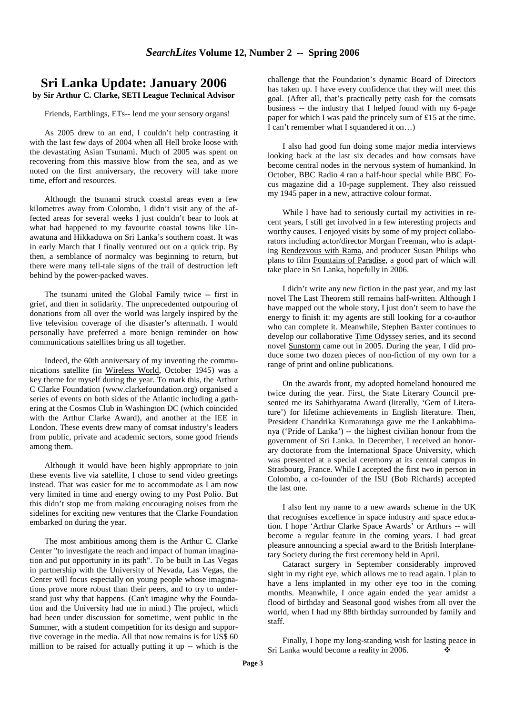# **Sri Lanka Update: January 2006**

**by Sir Arthur C. Clarke, SETI League Technical Advisor**

#### Friends, Earthlings, ETs-- lend me your sensory organs!

As 2005 drew to an end, I couldn't help contrasting it with the last few days of 2004 when all Hell broke loose with the devastating Asian Tsunami. Much of 2005 was spent on recovering from this massive blow from the sea, and as we noted on the first anniversary, the recovery will take more time, effort and resources.

Although the tsunami struck coastal areas even a few kilometres away from Colombo, I didn't visit any of the affected areas for several weeks I just couldn't bear to look at what had happened to my favourite coastal towns like Unawatuna and Hikkaduwa on Sri Lanka's southern coast. It was in early March that I finally ventured out on a quick trip. By then, a semblance of normalcy was beginning to return, but there were many tell-tale signs of the trail of destruction left behind by the power-packed waves.

The tsunami united the Global Family twice -- first in grief, and then in solidarity. The unprecedented outpouring of donations from all over the world was largely inspired by the live television coverage of the disaster's aftermath. I would personally have preferred a more benign reminder on how communications satellites bring us all together.

Indeed, the 60th anniversary of my inventing the communications satellite (in Wireless World, October 1945) was a key theme for myself during the year. To mark this, the Arthur C Clarke Foundation (www.clarkefoundation.org) organised a series of events on both sides of the Atlantic including a gathering at the Cosmos Club in Washington DC (which coincided with the Arthur Clarke Award), and another at the IEE in London. These events drew many of comsat industry's leaders from public, private and academic sectors, some good friends among them.

Although it would have been highly appropriate to join these events live via satellite, I chose to send video greetings instead. That was easier for me to accommodate as I am now very limited in time and energy owing to my Post Polio. But this didn't stop me from making encouraging noises from the sidelines for exciting new ventures that the Clarke Foundation embarked on during the year.

The most ambitious among them is the Arthur C. Clarke Center "to investigate the reach and impact of human imagination and put opportunity in its path". To be built in Las Vegas in partnership with the University of Nevada, Las Vegas, the Center will focus especially on young people whose imaginations prove more robust than their peers, and to try to understand just why that happens. (Can't imagine why the Foundation and the University had me in mind.) The project, which had been under discussion for sometime, went public in the Summer, with a student competition for its design and supportive coverage in the media. All that now remains is for US\$ 60 million to be raised for actually putting it up -- which is the challenge that the Foundation's dynamic Board of Directors has taken up. I have every confidence that they will meet this goal. (After all, that's practically petty cash for the comsats business -- the industry that I helped found with my 6-page paper for which I was paid the princely sum of £15 at the time. I can't remember what I squandered it on…)

I also had good fun doing some major media interviews looking back at the last six decades and how comsats have become central nodes in the nervous system of humankind. In October, BBC Radio 4 ran a half-hour special while BBC Focus magazine did a 10-page supplement. They also reissued my 1945 paper in a new, attractive colour format.

While I have had to seriously curtail my activities in recent years, I still get involved in a few interesting projects and worthy causes. I enjoyed visits by some of my project collaborators including actor/director Morgan Freeman, who is adapting Rendezvous with Rama, and producer Susan Philips who plans to film Fountains of Paradise, a good part of which will take place in Sri Lanka, hopefully in 2006.

I didn't write any new fiction in the past year, and my last novel The Last Theorem still remains half-written. Although I have mapped out the whole story, I just don't seem to have the energy to finish it: my agents are still looking for a co-author who can complete it. Meanwhile, Stephen Baxter continues to develop our collaborative Time Odyssey series, and its second novel Sunstorm came out in 2005. During the year, I did produce some two dozen pieces of non-fiction of my own for a range of print and online publications.

On the awards front, my adopted homeland honoured me twice during the year. First, the State Literary Council presented me its Sahithyaratna Award (literally, 'Gem of Literature') for lifetime achievements in English literature. Then, President Chandrika Kumaratunga gave me the Lankabhimanya ('Pride of Lanka') -- the highest civilian honour from the government of Sri Lanka. In December, I received an honorary doctorate from the International Space University, which was presented at a special ceremony at its central campus in Strasbourg, France. While I accepted the first two in person in Colombo, a co-founder of the ISU (Bob Richards) accepted the last one.

I also lent my name to a new awards scheme in the UK that recognises excellence in space industry and space education. I hope 'Arthur Clarke Space Awards' or Arthurs -- will become a regular feature in the coming years. I had great pleasure announcing a special award to the British Interplanetary Society during the first ceremony held in April.

Cataract surgery in September considerably improved sight in my right eye, which allows me to read again. I plan to have a lens implanted in my other eye too in the coming months. Meanwhile, I once again ended the year amidst a flood of birthday and Seasonal good wishes from all over the world, when I had my 88th birthday surrounded by family and staff.

Finally, I hope my long-standing wish for lasting peace in Sri Lanka would become a reality in 2006.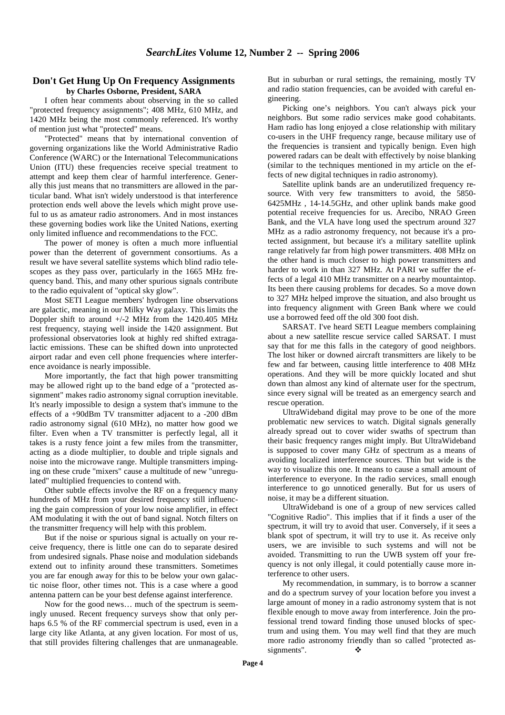### **Don't Get Hung Up On Frequency Assignments by Charles Osborne, President, SARA**

I often hear comments about observing in the so called "protected frequency assignments"; 408 MHz, 610 MHz, and 1420 MHz being the most commonly referenced. It's worthy of mention just what "protected" means.

"Protected" means that by international convention of governing organizations like the World Administrative Radio Conference (WARC) or the International Telecommunications Union (ITU) these frequencies receive special treatment to attempt and keep them clear of harmful interference. Generally this just means that no transmitters are allowed in the particular band. What isn't widely understood is that interference protection ends well above the levels which might prove useful to us as amateur radio astronomers. And in most instances these governing bodies work like the United Nations, exerting only limited influence and recommendations to the FCC.

The power of money is often a much more influential power than the deterrent of government consortiums. As a result we have several satellite systems which blind radio telescopes as they pass over, particularly in the 1665 MHz frequency band. This, and many other spurious signals contribute to the radio equivalent of "optical sky glow".

Most SETI League members' hydrogen line observations are galactic, meaning in our Milky Way galaxy. This limits the Doppler shift to around +/-2 MHz from the 1420.405 MHz rest frequency, staying well inside the 1420 assignment. But professional observatories look at highly red shifted extragalactic emissions. These can be shifted down into unprotected airport radar and even cell phone frequencies where interference avoidance is nearly impossible.

More importantly, the fact that high power transmitting may be allowed right up to the band edge of a "protected assignment" makes radio astronomy signal corruption inevitable. It's nearly impossible to design a system that's immune to the effects of a +90dBm TV transmitter adjacent to a -200 dBm radio astronomy signal (610 MHz), no matter how good we filter. Even when a TV transmitter is perfectly legal, all it takes is a rusty fence joint a few miles from the transmitter, acting as a diode multiplier, to double and triple signals and noise into the microwave range. Multiple transmitters impinging on these crude "mixers" cause a multitude of new "unregulated" multiplied frequencies to contend with.

Other subtle effects involve the RF on a frequency many hundreds of MHz from your desired frequency still influencing the gain compression of your low noise amplifier, in effect AM modulating it with the out of band signal. Notch filters on the transmitter frequency will help with this problem.

But if the noise or spurious signal is actually on your receive frequency, there is little one can do to separate desired from undesired signals. Phase noise and modulation sidebands extend out to infinity around these transmitters. Sometimes you are far enough away for this to be below your own galactic noise floor, other times not. This is a case where a good antenna pattern can be your best defense against interference.

Now for the good news… much of the spectrum is seemingly unused. Recent frequency surveys show that only perhaps 6.5 % of the RF commercial spectrum is used, even in a large city like Atlanta, at any given location. For most of us, that still provides filtering challenges that are unmanageable.

But in suburban or rural settings, the remaining, mostly TV and radio station frequencies, can be avoided with careful engineering.

Picking one's neighbors. You can't always pick your neighbors. But some radio services make good cohabitants. Ham radio has long enjoyed a close relationship with military co-users in the UHF frequency range, because military use of the frequencies is transient and typically benign. Even high powered radars can be dealt with effectively by noise blanking (similar to the techniques mentioned in my article on the effects of new digital techniques in radio astronomy).

Satellite uplink bands are an underutilized frequency resource. With very few transmitters to avoid, the 5850- 6425MHz , 14-14.5GHz, and other uplink bands make good potential receive frequencies for us. Arecibo, NRAO Green Bank, and the VLA have long used the spectrum around 327 MHz as a radio astronomy frequency, not because it's a protected assignment, but because it's a military satellite uplink range relatively far from high power transmitters. 408 MHz on the other hand is much closer to high power transmitters and harder to work in than 327 MHz. At PARI we suffer the effects of a legal 410 MHz transmitter on a nearby mountaintop. Its been there causing problems for decades. So a move down to 327 MHz helped improve the situation, and also brought us into frequency alignment with Green Bank where we could use a borrowed feed off the old 300 foot dish.

SARSAT. I've heard SETI League members complaining about a new satellite rescue service called SARSAT. I must say that for me this falls in the category of good neighbors. The lost hiker or downed aircraft transmitters are likely to be few and far between, causing little interference to 408 MHz operations. And they will be more quickly located and shut down than almost any kind of alternate user for the spectrum, since every signal will be treated as an emergency search and rescue operation.

UltraWideband digital may prove to be one of the more problematic new services to watch. Digital signals generally already spread out to cover wider swaths of spectrum than their basic frequency ranges might imply. But UltraWideband is supposed to cover many GHz of spectrum as a means of avoiding localized interference sources. Thin but wide is the way to visualize this one. It means to cause a small amount of interference to everyone. In the radio services, small enough interference to go unnoticed generally. But for us users of noise, it may be a different situation.

UltraWideband is one of a group of new services called "Cognitive Radio". This implies that if it finds a user of the spectrum, it will try to avoid that user. Conversely, if it sees a blank spot of spectrum, it will try to use it. As receive only users, we are invisible to such systems and will not be avoided. Transmitting to run the UWB system off your frequency is not only illegal, it could potentially cause more interference to other users.

My recommendation, in summary, is to borrow a scanner and do a spectrum survey of your location before you invest a large amount of money in a radio astronomy system that is not flexible enough to move away from interference. Join the professional trend toward finding those unused blocks of spectrum and using them. You may well find that they are much more radio astronomy friendly than so called "protected assignments".  $\mathbf{\hat{P}}$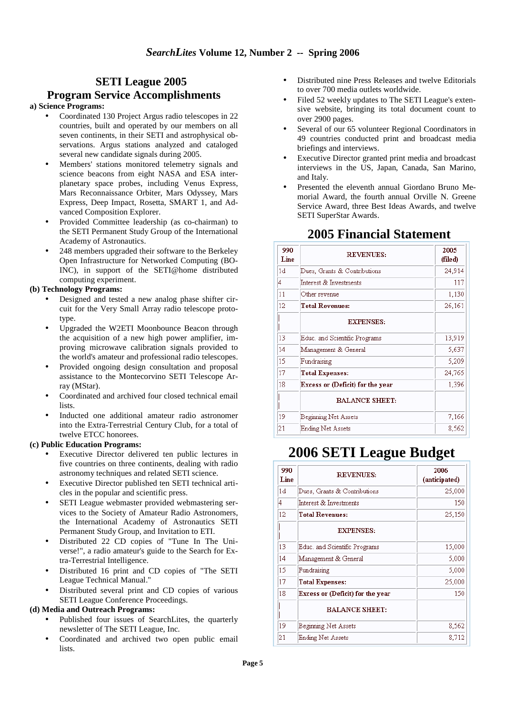## **SETI League 2005**

### **Program Service Accomplishments**

### **a) Science Programs:**

- Coordinated 130 Project Argus radio telescopes in 22 countries, built and operated by our members on all seven continents, in their SETI and astrophysical observations. Argus stations analyzed and cataloged several new candidate signals during 2005.
- Members' stations monitored telemetry signals and science beacons from eight NASA and ESA interplanetary space probes, including Venus Express, Mars Reconnaissance Orbiter, Mars Odyssey, Mars Express, Deep Impact, Rosetta, SMART 1, and Advanced Composition Explorer.
- Provided Committee leadership (as co-chairman) to the SETI Permanent Study Group of the International Academy of Astronautics.
- 248 members upgraded their software to the Berkeley Open Infrastructure for Networked Computing (BO-INC), in support of the SETI@home distributed computing experiment.

### **(b) Technology Programs:**

- Designed and tested a new analog phase shifter circuit for the Very Small Array radio telescope prototype.
- Upgraded the W2ETI Moonbounce Beacon through the acquisition of a new high power amplifier, improving microwave calibration signals provided to the world's amateur and professional radio telescopes.
- Provided ongoing design consultation and proposal assistance to the Montecorvino SETI Telescope Array (MStar).
- Coordinated and archived four closed technical email lists.
- Inducted one additional amateur radio astronomer into the Extra-Terrestrial Century Club, for a total of twelve ETCC honorees.

### **(c) Public Education Programs:**

- Executive Director delivered ten public lectures in five countries on three continents, dealing with radio astronomy techniques and related SETI science.
- Executive Director published ten SETI technical articles in the popular and scientific press.
- SETI League webmaster provided webmastering services to the Society of Amateur Radio Astronomers, the International Academy of Astronautics SETI Permanent Study Group, and Invitation to ETI.
- Distributed 22 CD copies of "Tune In The Universe!", a radio amateur's guide to the Search for Extra-Terrestrial Intelligence.
- Distributed 16 print and CD copies of "The SETI League Technical Manual."
- Distributed several print and CD copies of various SETI League Conference Proceedings.

### **(d) Media and Outreach Programs:**

- Published four issues of SearchLites, the quarterly newsletter of The SETI League, Inc.
- Coordinated and archived two open public email lists.
- Distributed nine Press Releases and twelve Editorials to over 700 media outlets worldwide.
- Filed 52 weekly updates to The SETI League's extensive website, bringing its total document count to over 2900 pages.
- Several of our 65 volunteer Regional Coordinators in 49 countries conducted print and broadcast media briefings and interviews.
- Executive Director granted print media and broadcast interviews in the US, Japan, Canada, San Marino, and Italy.
- Presented the eleventh annual Giordano Bruno Memorial Award, the fourth annual Orville N. Greene Service Award, three Best Ideas Awards, and twelve SETI SuperStar Awards.

# **2005 Financial Statement**

| 990<br>Line | <b>REVENUES:</b>                 | 2005<br>(filed) |
|-------------|----------------------------------|-----------------|
| 1d          | Dues, Grants & Contributions     | 24,914          |
| 4           | Interest & Investments           | 117             |
| 11          | Other revenue                    | 1,130           |
| 12          | Total Revenues:                  | 26,161          |
|             | <b>EXPENSES:</b>                 |                 |
| 13          | Educ, and Scientific Programs    | 13,919          |
| 14          | Management & General             | 5,637           |
| 15          | Fundraising                      | 5,209           |
| 17          | <b>Total Expenses:</b>           | 24,765          |
| 18          | Excess or (Deficit) for the year | 1.396           |
|             | <b>BALANCE SHEET:</b>            |                 |
| 19          | Beginning Net Assets             | 7,166           |
| 21          | Ending Net Assets                | 8,562           |

# **2006 SETI League Budget**

| 990<br>Line | <b>REVENUES:</b>                 | 2006<br>(anticipated) |
|-------------|----------------------------------|-----------------------|
| 1d          | Dues, Grants & Contributions     | 25,000                |
| 4           | Interest $\alpha$ Investments    | 150                   |
| 12          | <b>Total Revenues:</b>           | 25,150                |
|             | <b>EXPENSES:</b>                 |                       |
| 13          | Educ, and Scientific Programs    | 15,000                |
| 14          | Management & General             | 5,000                 |
| 15          | Fundraising                      | 5,000                 |
| 17          | Total Expenses:                  | 25.000                |
| 18          | Excess or (Deficit) for the year | 150                   |
|             | <b>BALANCE SHEET:</b>            |                       |
| 19          | Beginning Net Assets             | 8,562                 |
| 21          | Ending Net Assets                | 8.712                 |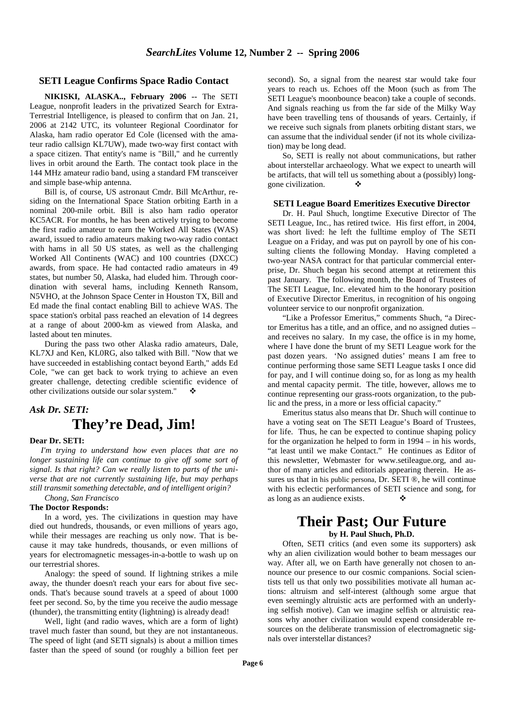### **SETI League Confirms Space Radio Contact**

**NIKISKI, ALASKA.., February 2006 --** The SETI League, nonprofit leaders in the privatized Search for Extra-Terrestrial Intelligence, is pleased to confirm that on Jan. 21, 2006 at 2142 UTC, its volunteer Regional Coordinator for Alaska, ham radio operator Ed Cole (licensed with the amateur radio callsign KL7UW), made two-way first contact with a space citizen. That entity's name is "Bill," and he currently lives in orbit around the Earth. The contact took place in the 144 MHz amateur radio band, using a standard FM transceiver and simple base-whip antenna.

Bill is, of course, US astronaut Cmdr. Bill McArthur, residing on the International Space Station orbiting Earth in a nominal 200-mile orbit. Bill is also ham radio operator KC5ACR. For months, he has been actively trying to become the first radio amateur to earn the Worked All States (WAS) award, issued to radio amateurs making two-way radio contact with hams in all 50 US states, as well as the challenging Worked All Continents (WAC) and 100 countries (DXCC) awards, from space. He had contacted radio amateurs in 49 states, but number 50, Alaska, had eluded him. Through coordination with several hams, including Kenneth Ransom, N5VHO, at the Johnson Space Center in Houston TX, Bill and Ed made the final contact enabling Bill to achieve WAS. The space station's orbital pass reached an elevation of 14 degrees at a range of about 2000-km as viewed from Alaska, and lasted about ten minutes.

During the pass two other Alaska radio amateurs, Dale, KL7XJ and Ken, KL0RG, also talked with Bill. "Now that we have succeeded in establishing contact beyond Earth," adds Ed Cole, "we can get back to work trying to achieve an even greater challenge, detecting credible scientific evidence of other civilizations outside our solar system."

# *Ask Dr. SETI:*  **They're Dead, Jim!**

### **Dear Dr. SETI:**

*I'm trying to understand how even places that are no longer sustaining life can continue to give off some sort of signal. Is that right? Can we really listen to parts of the universe that are not currently sustaining life, but may perhaps still transmit something detectable, and of intelligent origin?* 

*Chong, San Francisco*

### **The Doctor Responds:**

In a word, yes. The civilizations in question may have died out hundreds, thousands, or even millions of years ago, while their messages are reaching us only now. That is because it may take hundreds, thousands, or even millions of years for electromagnetic messages-in-a-bottle to wash up on our terrestrial shores.

Analogy: the speed of sound. If lightning strikes a mile away, the thunder doesn't reach your ears for about five seconds. That's because sound travels at a speed of about 1000 feet per second. So, by the time you receive the audio message (thunder), the transmitting entity (lightning) is already dead!

Well, light (and radio waves, which are a form of light) travel much faster than sound, but they are not instantaneous. The speed of light (and SETI signals) is about a million times faster than the speed of sound (or roughly a billion feet per second). So, a signal from the nearest star would take four years to reach us. Echoes off the Moon (such as from The SETI League's moonbounce beacon) take a couple of seconds. And signals reaching us from the far side of the Milky Way have been travelling tens of thousands of years. Certainly, if we receive such signals from planets orbiting distant stars, we can assume that the individual sender (if not its whole civilization) may be long dead.

So, SETI is really not about communications, but rather about interstellar archaeology. What we expect to unearth will be artifacts, that will tell us something about a (possibly) longgone civilization.

#### **SETI League Board Emeritizes Executive Director**

Dr. H. Paul Shuch, longtime Executive Director of The SETI League, Inc., has retired twice. His first effort, in 2004, was short lived: he left the fulltime employ of The SETI League on a Friday, and was put on payroll by one of his consulting clients the following Monday. Having completed a two-year NASA contract for that particular commercial enterprise, Dr. Shuch began his second attempt at retirement this past January. The following month, the Board of Trustees of The SETI League, Inc. elevated him to the honorary position of Executive Director Emeritus, in recognition of his ongoing volunteer service to our nonprofit organization.

"Like a Professor Emeritus," comments Shuch, "a Director Emeritus has a title, and an office, and no assigned duties – and receives no salary. In my case, the office is in my home, where I have done the brunt of my SETI League work for the past dozen years. 'No assigned duties' means I am free to continue performing those same SETI League tasks I once did for pay, and I will continue doing so, for as long as my health and mental capacity permit. The title, however, allows me to continue representing our grass-roots organization, to the public and the press, in a more or less official capacity."

Emeritus status also means that Dr. Shuch will continue to have a voting seat on The SETI League's Board of Trustees, for life. Thus, he can be expected to continue shaping policy for the organization he helped to form in 1994 – in his words, "at least until we make Contact." He continues as Editor of this newsletter, Webmaster for www.setileague.org, and author of many articles and editorials appearing therein. He assures us that in his public persona, Dr. SETI ®, he will continue with his eclectic performances of SETI science and song, for as long as an audience exists.

### **Their Past; Our Future by H. Paul Shuch, Ph.D.**

Often, SETI critics (and even some its supporters) ask why an alien civilization would bother to beam messages our way. After all, we on Earth have generally not chosen to announce our presence to our cosmic companions. Social scientists tell us that only two possibilities motivate all human actions: altruism and self-interest (although some argue that even seemingly altruistic acts are performed with an underlying selfish motive). Can we imagine selfish or altruistic reasons why another civilization would expend considerable resources on the deliberate transmission of electromagnetic signals over interstellar distances?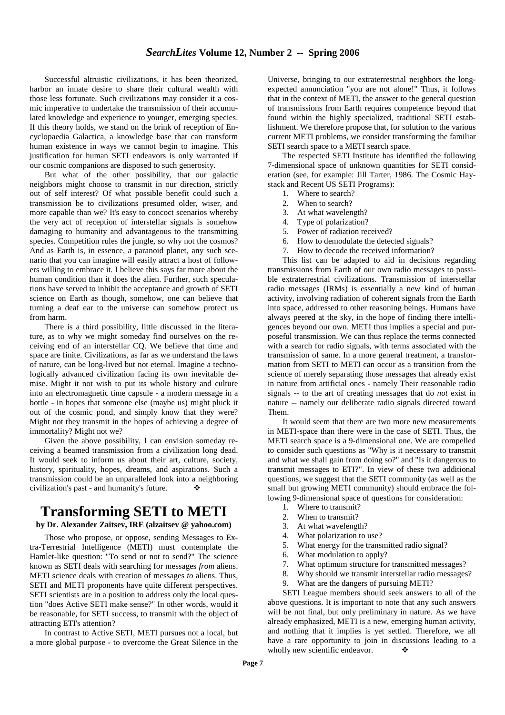Successful altruistic civilizations, it has been theorized, harbor an innate desire to share their cultural wealth with those less fortunate. Such civilizations may consider it a cosmic imperative to undertake the transmission of their accumulated knowledge and experience to younger, emerging species. If this theory holds, we stand on the brink of reception of Encyclopaedia Galactica, a knowledge base that can transform human existence in ways we cannot begin to imagine. This justification for human SETI endeavors is only warranted if our cosmic companions are disposed to such generosity.

But what of the other possibility, that our galactic neighbors might choose to transmit in our direction, strictly out of self interest? Of what possible benefit could such a transmission be to civilizations presumed older, wiser, and more capable than we? It's easy to concoct scenarios whereby the very act of reception of interstellar signals is somehow damaging to humanity and advantageous to the transmitting species. Competition rules the jungle, so why not the cosmos? And as Earth is, in essence, a paranoid planet, any such scenario that you can imagine will easily attract a host of followers willing to embrace it. I believe this says far more about the human condition than it does the alien. Further, such speculations have served to inhibit the acceptance and growth of SETI science on Earth as though, somehow, one can believe that turning a deaf ear to the universe can somehow protect us from harm.

There is a third possibility, little discussed in the literature, as to why we might someday find ourselves on the receiving end of an interstellar CQ. We believe that time and space are finite. Civilizations, as far as we understand the laws of nature, can be long-lived but not eternal. Imagine a technologically advanced civilization facing its own inevitable demise. Might it not wish to put its whole history and culture into an electromagnetic time capsule - a modern message in a bottle - in hopes that someone else (maybe us) might pluck it out of the cosmic pond, and simply know that they were? Might not they transmit in the hopes of achieving a degree of immortality? Might not we?

Given the above possibility, I can envision someday receiving a beamed transmission from a civilization long dead. It would seek to inform us about their art, culture, society, history, spirituality, hopes, dreams, and aspirations. Such a transmission could be an unparalleled look into a neighboring civilization's past - and humanity's future.

# **Transforming SETI to METI**

### **by Dr. Alexander Zaitsev, IRE (alzaitsev @ yahoo.com)**

Those who propose, or oppose, sending Messages to Extra-Terrestrial Intelligence (METI) must contemplate the Hamlet-like question: "To send or not to send?" The science known as SETI deals with searching for messages *from* aliens. METI science deals with creation of messages *to* aliens. Thus, SETI and METI proponents have quite different perspectives. SETI scientists are in a position to address only the local question "does Active SETI make sense?" In other words, would it be reasonable, for SETI success, to transmit with the object of attracting ETI's attention?

In contrast to Active SETI, METI pursues not a local, but a more global purpose - to overcome the Great Silence in the

Universe, bringing to our extraterrestrial neighbors the longexpected annunciation "you are not alone!" Thus, it follows that in the context of METI, the answer to the general question of transmissions from Earth requires competence beyond that found within the highly specialized, traditional SETI establishment. We therefore propose that, for solution to the various current METI problems, we consider transforming the familiar SETI search space to a METI search space.

The respected SETI Institute has identified the following 7-dimensional space of unknown quantities for SETI consideration (see, for example: Jill Tarter, 1986. The Cosmic Haystack and Recent US SETI Programs):

- 1. Where to search?
- 2. When to search?
- 3. At what wavelength?
- 4. Type of polarization?
- 5. Power of radiation received?
- 6. How to demodulate the detected signals?
- 7. How to decode the received information?

This list can be adapted to aid in decisions regarding transmissions from Earth of our own radio messages to possible extraterrestrial civilizations. Transmission of interstellar radio messages (IRMs) is essentially a new kind of human activity, involving radiation of coherent signals from the Earth into space, addressed to other reasoning beings. Humans have always peered at the sky, in the hope of finding there intelligences beyond our own. METI thus implies a special and purposeful transmission. We can thus replace the terms connected with a search for radio signals, with terms associated with the transmission of same. In a more general treatment, a transformation from SETI to METI can occur as a transition from the science of merely separating those messages that already exist in nature from artificial ones - namely Their reasonable radio signals -- to the art of creating messages that do *not* exist in nature -- namely our deliberate radio signals directed toward Them.

It would seem that there are two more new measurements in METI-space than there were in the case of SETI. Thus, the METI search space is a 9-dimensional one. We are compelled to consider such questions as "Why is it necessary to transmit and what we shall gain from doing so?" and "Is it dangerous to transmit messages to ETI?". In view of these two additional questions, we suggest that the SETI community (as well as the small but growing METI community) should embrace the following 9-dimensional space of questions for consideration:

- 1. Where to transmit?
- 2. When to transmit?
- 3. At what wavelength?
- 4. What polarization to use?
- 5. What energy for the transmitted radio signal?
- 6. What modulation to apply?
- 7. What optimum structure for transmitted messages?
- 8. Why should we transmit interstellar radio messages?
- 9. What are the dangers of pursuing METI?

SETI League members should seek answers to all of the above questions. It is important to note that any such answers will be not final, but only preliminary in nature. As we have already emphasized, METI is a new, emerging human activity, and nothing that it implies is yet settled. Therefore, we all have a rare opportunity to join in discussions leading to a wholly new scientific endeavor.  $\bullet$